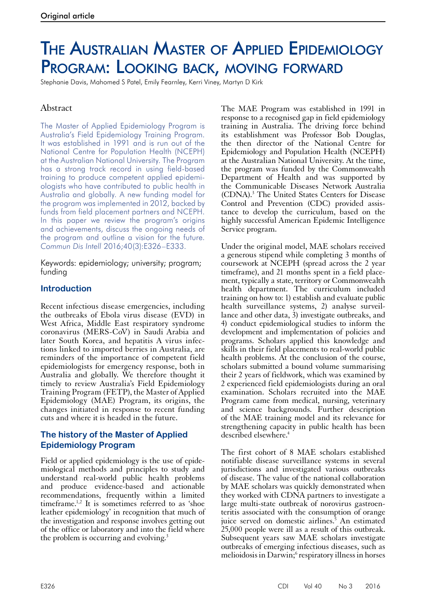# The Australian Master of Applied Epidemiology PROGRAM: LOOKING BACK, MOVING FORWARD

Stephanie Davis, Mahomed S Patel, Emily Fearnley, Kerri Viney, Martyn D Kirk

# Abstract

The Master of Applied Epidemiology Program is Australia's Field Epidemiology Training Program. It was established in 1991 and is run out of the National Centre for Population Health (NCEPH) at the Australian National University. The Program has a strong track record in using field-based training to produce competent applied epidemiologists who have contributed to public health in Australia and globally. A new funding model for the program was implemented in 2012, backed by funds from field placement partners and NCEPH. In this paper we review the program's origins and achievements, discuss the ongoing needs of the program and outline a vision for the future. *Commun Dis Intell* 2016;40(3):E326–E333.

Keywords: epidemiology; university; program; funding

## **Introduction**

Recent infectious disease emergencies, including the outbreaks of Ebola virus disease (EVD) in West Africa, Middle East respiratory syndrome coronavirus (MERS-CoV) in Saudi Arabia and later South Korea, and hepatitis A virus infec- tions linked to imported berries in Australia, are reminders of the importance of competent field epidemiologists for emergency response, both in Australia and globally. We therefore thought it timely to review Australia's Field Epidemiology Training Program (FETP), the Master of Applied Epidemiology (MAE) Program, its origins, the changes initiated in response to recent funding cuts and where it is headed in the future.

## **The history of the Master of Applied Epidemiology Program**

Field or applied epidemiology is the use of epidemiological methods and principles to study and understand real-world public health problems and produce evidence-based and actionable recommendations, frequently within a limited timeframe.1,2 It is sometimes referred to as 'shoe leather epidemiology' in recognition that much of the investigation and response involves getting out of the office or laboratory and into the field where the problem is occurring and evolving.<sup>3</sup>

The MAE Program was established in 1991 in response to a recognised gap in field epidemiology training in Australia. The driving force behind its establishment was Professor Bob Douglas, the then director of the National Centre for Epidemiology and Population Health (NCEPH) at the Australian National University. At the time, the program was funded by the Commonwealth Department of Health and was supported by the Communicable Diseases Network Australia (CDNA).3 The United States Centers for Disease Control and Prevention (CDC) provided assistance to develop the curriculum, based on the highly successful American Epidemic Intelligence Service program.

Under the original model, MAE scholars received a generous stipend while completing 3 months of coursework at NCEPH (spread across the 2 year timeframe), and 21 months spent in a field placement, typically a state, territory or Commonwealth health department. The curriculum included training on how to: 1) establish and evaluate public health surveillance systems, 2) analyse surveillance and other data, 3) investigate outbreaks, and 4) conduct epidemiological studies to inform the development and implementation of policies and programs. Scholars applied this knowledge and skills in their field placements to real-world public health problems. At the conclusion of the course, scholars submitted a bound volume summarising their 2 years of fieldwork, which was examined by 2 experienced field epidemiologists during an oral examination. Scholars recruited into the MAE Program came from medical, nursing, veterinary and science backgrounds. Further description of the MAE training model and its relevance for strengthening capacity in public health has been described elsewhere.<sup>4</sup>

The first cohort of 8 MAE scholars established notifiable disease surveillance systems in several jurisdictions and investigated various outbreaks of disease. The value of the national collaboration by MAE scholars was quickly demonstrated when they worked with CDNA partners to investigate a large multi-state outbreak of norovirus gastroen- teritis associated with the consumption of orange juice served on domestic airlines.<sup>5</sup> An estimated 25,000 people were ill as a result of this outbreak. Subsequent years saw MAE scholars investigate outbreaks of emerging infectious diseases, such as melioidosis in Darwin;<sup>6</sup> respiratory illness in horses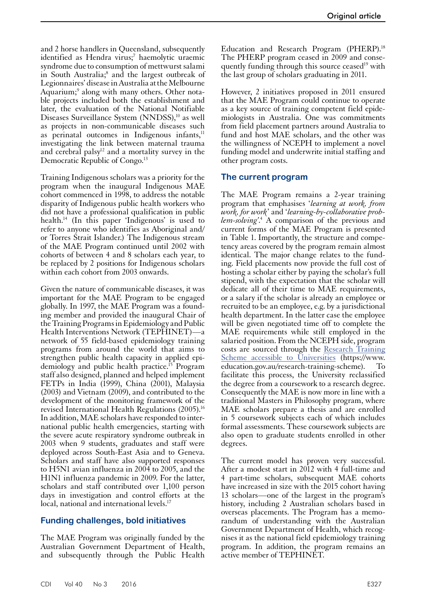and 2 horse handlers in Queensland, subsequently identified as Hendra virus;<sup>7</sup> haemolytic uraemic syndrome due to consumption of mettwurst salami in South Australia;<sup>8</sup> and the largest outbreak of Legionnaires' disease in Australia at the Melbourne Aquarium;<sup>9</sup> along with many others. Other notable projects included both the establishment and later, the evaluation of the National Notifiable Diseases Surveillance System (NNDSS),<sup>10</sup> as well as projects in non-communicable diseases such as perinatal outcomes in Indigenous infants, $11$ investigating the link between maternal trauma and cerebral palsy<sup>12</sup> and a mortality survey in the Democratic Republic of Congo.<sup>13</sup>

Training Indigenous scholars was a priority for the program when the inaugural Indigenous MAE cohort commenced in 1998, to address the notable disparity of Indigenous public health workers who did not have a professional qualification in public health.14 (In this paper 'Indigenous' is used to refer to anyone who identifies as Aboriginal and/ or Torres Strait Islander.) The Indigenous stream of the MAE Program continued until 2002 with cohorts of between 4 and 8 scholars each year, to be replaced by 2 positions for Indigenous scholars within each cohort from 2003 onwards.

Given the nature of communicable diseases, it was important for the MAE Program to be engaged globally. In 1997, the MAE Program was a founding member and provided the inaugural Chair of the Training Programs in Epidemiology and Public Health Interventions Network (TEPHINET)—a network of 55 field-based epidemiology training programs from around the world that aims to strengthen public health capacity in applied epi-<br>demiology and public health practice.<sup>15</sup> Program staff also designed, planned and helped implement FETPs in India (1999), China (2001), Malaysia (2003) and Vietnam (2009), and contributed to the development of the monitoring framework of the revised International Health Regulations (2005).<sup>16</sup> In addition, MAE scholars have responded to international public health emergencies, starting with the severe acute respiratory syndrome outbreak in 2003 when 9 students, graduates and staff were deployed across South-East Asia and to Geneva. Scholars and staff have also supported responses to H5N1 avian influenza in 2004 to 2005, and the H1N1 influenza pandemic in 2009. For the latter, scholars and staff contributed over 1,100 person days in investigation and control efforts at the local, national and international levels.<sup>17</sup>

## **Funding challenges, bold initiatives**

The MAE Program was originally funded by the Australian Government Department of Health, and subsequently through the Public Health

Education and Research Program (PHERP).<sup>18</sup> The PHERP program ceased in 2009 and consequently funding through this source ceased<sup>19</sup> with the last group of scholars graduating in 2011.

However, 2 initiatives proposed in 2011 ensured that the MAE Program could continue to operate as a key source of training competent field epidemiologists in Australia. One was commitments from field placement partners around Australia to fund and host MAE scholars, and the other was the willingness of NCEPH to implement a novel funding model and underwrite initial staffing and other program costs.

## **The current program**

The MAE Program remains a 2-year training program that emphasises '*learning at work, from work, for work*' and '*learning-by-collaborative prob*lem-solving'.<sup>4</sup> A comparison of the previous and current forms of the MAE Program is presented in Table 1. Importantly, the structure and competency areas covered by the program remain almost identical. The major change relates to the funding. Field placements now provide the full cost of hosting a scholar either by paying the scholar's full stipend, with the expectation that the scholar will dedicate all of their time to MAE requirements, or a salary if the scholar is already an employee or recruited to be an employee, e.g. by a jurisdictional health department. In the latter case the employee will be given negotiated time off to complete the MAE requirements while still employed in the salaried position. From the NCEPH side, program costs are sourced through the [Research Training](https://www.education.gov.au/research-training-scheme)  [Scheme](https://www.education.gov.au/research-training-scheme) accessible to Universities (https://www. education.gov.au/research-training-scheme). To facilitate this process, the University reclassified the degree from a coursework to a research degree. Consequently the MAE is now more in line with a traditional Masters in Philosophy program, where MAE scholars prepare a thesis and are enrolled in 5 coursework subjects each of which includes formal assessments. These coursework subjects are also open to graduate students enrolled in other degrees.

The current model has proven very successful. After a modest start in 2012 with 4 full-time and 4 part-time scholars, subsequent MAE cohorts have increased in size with the 2015 cohort having 13 scholars—one of the largest in the program's history, including 2 Australian scholars based in overseas placements. The Program has a memorandum of understanding with the Australian Government Department of Health, which recognises it as the national field epidemiology training program. In addition, the program remains an active member of TEPHINET.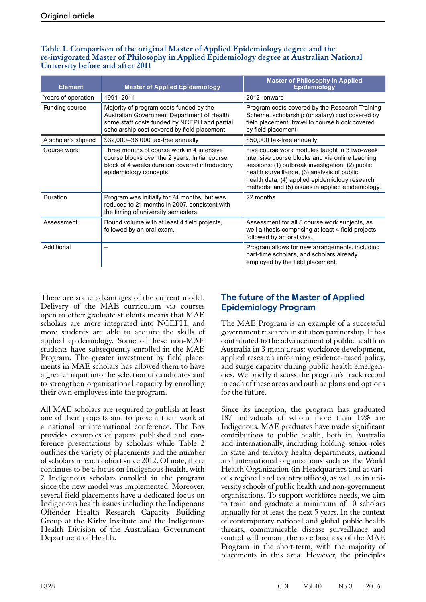| <b>Element</b>      | <b>Master of Applied Epidemiology</b>                                                                                                                                                 | <b>Master of Philosophy in Applied</b><br>Epidemiology                                                                                                                                                                                                                                                    |
|---------------------|---------------------------------------------------------------------------------------------------------------------------------------------------------------------------------------|-----------------------------------------------------------------------------------------------------------------------------------------------------------------------------------------------------------------------------------------------------------------------------------------------------------|
| Years of operation  | 1991-2011                                                                                                                                                                             | 2012-onward                                                                                                                                                                                                                                                                                               |
| Funding source      | Majority of program costs funded by the<br>Australian Government Department of Health,<br>some staff costs funded by NCEPH and partial<br>scholarship cost covered by field placement | Program costs covered by the Research Training<br>Scheme, scholarship (or salary) cost covered by<br>field placement, travel to course block covered<br>by field placement                                                                                                                                |
| A scholar's stipend | \$32,000-36,000 tax-free annually                                                                                                                                                     | \$50,000 tax-free annually                                                                                                                                                                                                                                                                                |
| Course work         | Three months of course work in 4 intensive<br>course blocks over the 2 years. Initial course<br>block of 4 weeks duration covered introductory<br>epidemiology concepts.              | Five course work modules taught in 3 two-week<br>intensive course blocks and via online teaching<br>sessions: (1) outbreak investigation, (2) public<br>health surveillance, (3) analysis of public<br>health data, (4) applied epidemiology research<br>methods, and (5) issues in applied epidemiology. |
| Duration            | Program was initially for 24 months, but was<br>reduced to 21 months in 2007, consistent with<br>the timing of university semesters                                                   | 22 months                                                                                                                                                                                                                                                                                                 |
| Assessment          | Bound volume with at least 4 field projects,<br>followed by an oral exam.                                                                                                             | Assessment for all 5 course work subjects, as<br>well a thesis comprising at least 4 field projects<br>followed by an oral viva.                                                                                                                                                                          |
| Additional          |                                                                                                                                                                                       | Program allows for new arrangements, including<br>part-time scholars, and scholars already<br>employed by the field placement.                                                                                                                                                                            |

#### **Table 1. Comparison of the original Master of Applied Epidemiology degree and the re-invigorated Master of Philosophy in Applied Epidemiology degree at Australian National University before and after 2011**

There are some advantages of the current model. Delivery of the MAE curriculum via courses open to other graduate students means that MAE scholars are more integrated into NCEPH, and more students are able to acquire the skills of applied epidemiology. Some of these non-MAE students have subsequently enrolled in the MAE Program. The greater investment by field place- ments in MAE scholars has allowed them to have a greater input into the selection of candidates and to strengthen organisational capacity by enrolling their own employees into the program.

All MAE scholars are required to publish at least one of their projects and to present their work at a national or international conference. The Box provides examples of papers published and conference presentations by scholars while Table 2 outlines the variety of placements and the number of scholars in each cohort since 2012. Of note, there continues to be a focus on Indigenous health, with 2 Indigenous scholars enrolled in the program since the new model was implemented. Moreover, several field placements have a dedicated focus on Indigenous health issues including the Indigenous Offender Health Research Capacity Building Group at the Kirby Institute and the Indigenous Health Division of the Australian Government Department of Health.

# **The future of the Master of Applied Epidemiology Program**

The MAE Program is an example of a successful government research institution partnership. It has contributed to the advancement of public health in Australia in 3 main areas: workforce development, applied research informing evidence-based policy, and surge capacity during public health emergen- cies. We briefly discuss the program's track record in each of these areas and outline plans and options for the future.

Since its inception, the program has graduated 187 individuals of whom more than 15% are Indigenous. MAE graduates have made significant contributions to public health, both in Australia and internationally, including holding senior roles in state and territory health departments, national and international organisations such as the World Health Organization (in Headquarters and at various regional and country offices), as well as in uni- versity schools of public health and non-government organisations. To support workforce needs, we aim to train and graduate a minimum of 10 scholars annually for at least the next 5 years. In the context of contemporary national and global public health threats, communicable disease surveillance and control will remain the core business of the MAE Program in the short-term, with the majority of placements in this area. However, the principles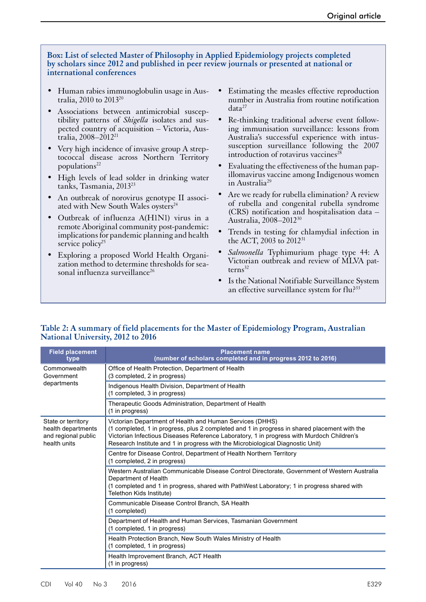#### **Box: List of selected Master of Philosophy in Applied Epidemiology projects completed by scholars since 2012 and published in peer review journals or presented at national or international conferences**

- Human rabies immunoglobulin usage in Aus- tralia, 2010 to 201320
- Associations between antimicrobial susceptibility patterns of *Shigella* isolates and suspected country of acquisition – Victoria, Australia, 2008–2012<sup>21</sup>
- Very high incidence of invasive group A streptococcal disease across Northern Territory populations $^{22}$
- High levels of lead solder in drinking water tanks, Tasmania, 201323
- An outbreak of norovirus genotype II associated with New South Wales oysters<sup>24</sup>
- Outbreak of influenza A(H1N1) virus in a remote Aboriginal community post-pandemic: implications for pandemic planning and health service policy<sup>25</sup>
- Exploring a proposed World Health Organization method to determine thresholds for seasonal influenza surveillance<sup>26</sup>
- Estimating the measles effective reproduction number in Australia from routine notification data27
- Re-thinking traditional adverse event following immunisation surveillance: lessons from Australia's successful experience with intussusception surveillance following the 2007 introduction of rotavirus vaccines<sup>28</sup>
- Evaluating the effectiveness of the human pap- illomavirus vaccine among Indigenous women in Australia<sup>29</sup>
- Are we ready for rubella elimination? A review of rubella and congenital rubella syndrome (CRS) notification and hospitalisation data – Australia, 2008–201230
- Trends in testing for chlamydial infection in the ACT, 2003 to 201231
- *Salmonella* Typhimurium phage type 44: A Victorian outbreak and review of MLVA patterns<sup>32</sup>
- Is the National Notifiable Surveillance System an effective surveillance system for flu?33

## **Table 2: A summary of field placements for the Master of Epidemiology Program, Australian National University, 2012 to 2016**

| <b>Field placement</b><br>type                                                  | <b>Placement name</b><br>(number of scholars completed and in progress 2012 to 2016)                                                                                                                                                                                                                                                    |  |
|---------------------------------------------------------------------------------|-----------------------------------------------------------------------------------------------------------------------------------------------------------------------------------------------------------------------------------------------------------------------------------------------------------------------------------------|--|
| Commonwealth<br>Government<br>departments                                       | Office of Health Protection, Department of Health<br>(3 completed, 2 in progress)                                                                                                                                                                                                                                                       |  |
|                                                                                 | Indigenous Health Division, Department of Health<br>(1 completed, 3 in progress)                                                                                                                                                                                                                                                        |  |
|                                                                                 | Therapeutic Goods Administration, Department of Health<br>(1 in progress)                                                                                                                                                                                                                                                               |  |
| State or territory<br>health departments<br>and regional public<br>health units | Victorian Department of Health and Human Services (DHHS)<br>(1 completed, 1 in progress, plus 2 completed and 1 in progress in shared placement with the<br>Victorian Infectious Diseases Reference Laboratory, 1 in progress with Murdoch Children's<br>Research Institute and 1 in progress with the Microbiological Diagnostic Unit) |  |
|                                                                                 | Centre for Disease Control, Department of Health Northern Territory<br>(1 completed, 2 in progress)                                                                                                                                                                                                                                     |  |
|                                                                                 | Western Australian Communicable Disease Control Directorate. Government of Western Australia<br>Department of Health<br>(1 completed and 1 in progress, shared with PathWest Laboratory; 1 in progress shared with<br>Telethon Kids Institute)                                                                                          |  |
|                                                                                 | Communicable Disease Control Branch, SA Health<br>(1 completed)                                                                                                                                                                                                                                                                         |  |
|                                                                                 | Department of Health and Human Services, Tasmanian Government<br>(1 completed, 1 in progress)                                                                                                                                                                                                                                           |  |
|                                                                                 | Health Protection Branch, New South Wales Ministry of Health<br>(1 completed, 1 in progress)                                                                                                                                                                                                                                            |  |
|                                                                                 | Health Improvement Branch, ACT Health<br>(1 in progress)                                                                                                                                                                                                                                                                                |  |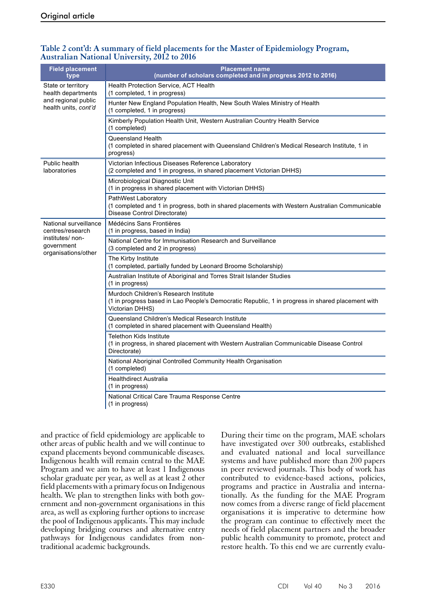| Table 2 cont'd: A summary of field placements for the Master of Epidemiology Program, |  |
|---------------------------------------------------------------------------------------|--|
| <b>Australian National University, 2012 to 2016</b>                                   |  |

| <b>Field placement</b><br>type                                                                    | <b>Placement name</b><br>(number of scholars completed and in progress 2012 to 2016)                                                                         |  |
|---------------------------------------------------------------------------------------------------|--------------------------------------------------------------------------------------------------------------------------------------------------------------|--|
| State or territory<br>health departments<br>and regional public<br>health units, cont'd           | <b>Health Protection Service, ACT Health</b><br>(1 completed, 1 in progress)                                                                                 |  |
|                                                                                                   | Hunter New England Population Health, New South Wales Ministry of Health<br>(1 completed, 1 in progress)                                                     |  |
|                                                                                                   | Kimberly Population Health Unit, Western Australian Country Health Service<br>(1 completed)                                                                  |  |
|                                                                                                   | Queensland Health<br>(1 completed in shared placement with Queensland Children's Medical Research Institute, 1 in<br>progress)                               |  |
| Public health<br>laboratories                                                                     | Victorian Infectious Diseases Reference Laboratory<br>(2 completed and 1 in progress, in shared placement Victorian DHHS)                                    |  |
|                                                                                                   | Microbiological Diagnostic Unit<br>(1 in progress in shared placement with Victorian DHHS)                                                                   |  |
|                                                                                                   | PathWest Laboratory<br>(1 completed and 1 in progress, both in shared placements with Western Australian Communicable<br>Disease Control Directorate)        |  |
| National surveillance<br>centres/research<br>institutes/non-<br>government<br>organisations/other | Médécins Sans Frontières<br>(1 in progress, based in India)                                                                                                  |  |
|                                                                                                   | National Centre for Immunisation Research and Surveillance<br>(3 completed and 2 in progress)                                                                |  |
|                                                                                                   | The Kirby Institute<br>(1 completed, partially funded by Leonard Broome Scholarship)                                                                         |  |
|                                                                                                   | Australian Institute of Aboriginal and Torres Strait Islander Studies<br>(1 in progress)                                                                     |  |
|                                                                                                   | Murdoch Children's Research Institute<br>(1 in progress based in Lao People's Democratic Republic, 1 in progress in shared placement with<br>Victorian DHHS) |  |
|                                                                                                   | Queensland Children's Medical Research Institute<br>(1 completed in shared placement with Queensland Health)                                                 |  |
|                                                                                                   | <b>Telethon Kids Institute</b><br>(1 in progress, in shared placement with Western Australian Communicable Disease Control<br>Directorate)                   |  |
|                                                                                                   | National Aboriginal Controlled Community Health Organisation<br>(1 completed)                                                                                |  |
|                                                                                                   | <b>Healthdirect Australia</b><br>(1 in progress)                                                                                                             |  |
|                                                                                                   | National Critical Care Trauma Response Centre<br>(1 in progress)                                                                                             |  |

and practice of field epidemiology are applicable to other areas of public health and we will continue to expand placements beyond communicable diseases. Indigenous health will remain central to the MAE Program and we aim to have at least 1 Indigenous scholar graduate per year, as well as at least 2 other field placements with a primary focus on Indigenous health. We plan to strengthen links with both gov- ernment and non-government organisations in this area, as well as exploring further options to increase the pool of Indigenous applicants. This may include developing bridging courses and alternative entry pathways for Indigenous candidates from nontraditional academic backgrounds.

During their time on the program, MAE scholars have investigated over 300 outbreaks, established and evaluated national and local surveillance systems and have published more than 200 papers in peer reviewed journals. This body of work has contributed to evidence-based actions, policies, programs and practice in Australia and interna- tionally. As the funding for the MAE Program now comes from a diverse range of field placement organisations it is imperative to determine how the program can continue to effectively meet the needs of field placement partners and the broader public health community to promote, protect and restore health. To this end we are currently evalu-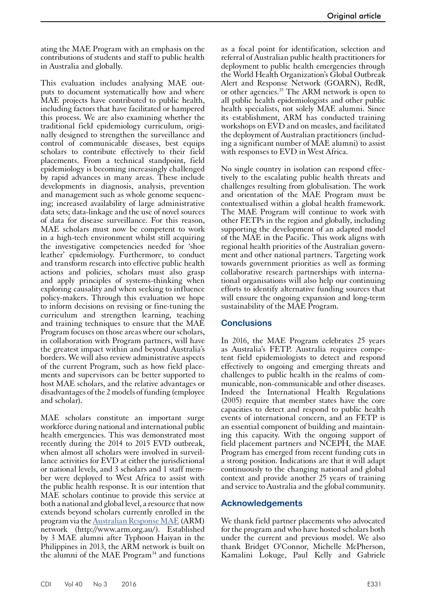ating the MAE Program with an emphasis on the contributions of students and staff to public health in Australia and globally.

This evaluation includes analysing MAE outputs to document systematically how and where MAE projects have contributed to public health, including factors that have facilitated or hampered this process. We are also examining whether the traditional field epidemiology curriculum, originally designed to strengthen the surveillance and control of communicable diseases, best equips scholars to contribute effectively to their field placements. From a technical standpoint, field epidemiology is becoming increasingly challenged by rapid advances in many areas. These include developments in diagnosis, analysis, prevention and management such as whole genome sequencing; increased availability of large administrative data sets; data-linkage and the use of novel sources of data for disease surveillance. For this reason, MAE scholars must now be competent to work in a high-tech environment whilst still acquiring the investigative competencies needed for 'shoe leather' epidemiology. Furthermore, to conduct and transform research into effective public health actions and policies, scholars must also grasp and apply principles of systems-thinking when exploring causality and when seeking to influence policy-makers. Through this evaluation we hope to inform decisions on revising or fine-tuning the curriculum and strengthen learning, teaching and training techniques to ensure that the MAE Program focuses on those areas where our scholars, in collaboration with Program partners, will have the greatest impact within and beyond Australia's borders. We will also review administrative aspects of the current Program, such as how field place- ments and supervisors can be better supported to host MAE scholars, and the relative advantages or disadvantages of the 2 models of funding (employee and scholar).

MAE scholars constitute an important surge workforce during national and international public health emergencies. This was demonstrated most recently during the 2014 to 2015 EVD outbreak, when almost all scholars were involved in surveillance activities for EVD at either the jurisdictional or national levels, and 3 scholars and 1 staff member were deployed to West Africa to assist with the public health response. It is our intention that MAE scholars continue to provide this service at both a national and global level, a resource that now extends beyond scholars currently enrolled in the program via the [Australian Response MAE](http://www.arm.org.au/) (ARM) network (http://www.arm.org.au/). Established by 3 MAE alumni after Typhoon Haiyan in the Philippines in 2013, the ARM network is built on the alumni of the MAE Program<sup>34</sup> and functions

as a focal point for identification, selection and referral of Australian public health practitioners for deployment to public health emergencies through the World Health Organization's Global Outbreak Alert and Response Network (GOARN), RedR, or other agencies.<sup>35</sup> The ARM network is open to all public health epidemiologists and other public health specialists, not solely MAE alumni. Since its establishment, ARM has conducted training workshops on EVD and on measles, and facilitated the deployment of Australian practitioners (including a significant number of MAE alumni) to assist with responses to EVD in West Africa.

No single country in isolation can respond effectively to the escalating public health threats and challenges resulting from globalisation. The work and orientation of the MAE Program must be contextualised within a global health framework. The MAE Program will continue to work with other FETPs in the region and globally, including supporting the development of an adapted model of the MAE in the Pacific. This work aligns with regional health priorities of the Australian government and other national partners. Targeting work towards government priorities as well as forming collaborative research partnerships with international organisations will also help our continuing efforts to identify alternative funding sources that will ensure the ongoing expansion and long-term sustainability of the MAE Program.

## **Conclusions**

In 2016, the MAE Program celebrates 25 years as Australia's FETP. Australia requires compe- tent field epidemiologists to detect and respond effectively to ongoing and emerging threats and challenges to public health in the realms of com- municable, non-communicable and other diseases. Indeed the International Health Regulations (2005) require that member states have the core capacities to detect and respond to public health events of international concern, and an FETP is an essential component of building and maintaining this capacity. With the ongoing support of field placement partners and NCEPH, the MAE Program has emerged from recent funding cuts in a strong position. Indications are that it will adapt continuously to the changing national and global context and provide another 25 years of training and service to Australia and the global community.

#### **Acknowledgements**

We thank field partner placements who advocated for the program and who have hosted scholars both under the current and previous model. We also thank Bridget O'Connor, Michelle McPherson, Kamalini Lokuge, Paul Kelly and Gabriele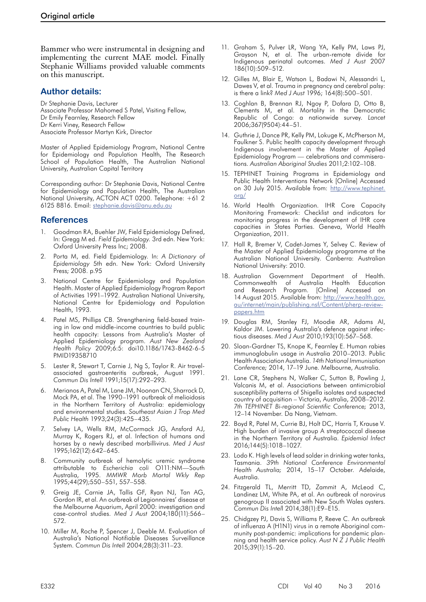Bammer who were instrumental in designing and implementing the current MAE model. Finally Stephanie Williams provided valuable comments on this manuscript.

## **Author details:**

Dr Stephanie Davis, Lecturer Associate Professor Mahomed S Patel, Visiting Fellow, Dr Emily Fearnley, Research Fellow Dr Kerri Viney, Research Fellow Associate Professor Martyn Kirk, Director

Master of Applied Epidemiology Program, National Centre for Epidemiology and Population Health, The Research School of Population Health, The Australian National University, Australian Capital Territory

Corresponding author: Dr Stephanie Davis, National Centre for Epidemiology and Population Health, The Australian National University, ACTON ACT 0200. Telephone: +61 2 6125 8816. Email: [stephanie.davis@anu.edu.au](mailto:stephanie.davis@anu.edu.au)

## **References**

- 1. Goodman RA, Buehler JW, Field Epidemiology Defined, In: Gregg M ed. *Field Epidemiology.* 3rd edn. New York: Oxford University Press Inc; 2008.
- 2. Porta M, ed. Field Epidemiology. In: *A Dictionary of Epidemiology* 5th edn. New York: Oxford University Press; 2008. p.95
- 3. National Centre for Epidemiology and Population Health. Master of Applied Epidemiology Program Report of Activities 1991–1992. Australian National University, National Centre for Epidemiology and Population Health, 1993.
- 4. Patel MS, Phillips CB. Strengthening field-based training in low and middle-income countries to build public health capacity: Lessons from Australia's Master of Applied Epidemiology program. *Aust New Zealand Health Policy* 2009;6:5: doi10.1186/1743-8462-6-5 PMID19358710
- 5. Lester R, Stewart T, Carnie J, Ng S, Taylor R. Air travelassociated gastroenteritis outbreak, August 1991. *Commun Dis Intell* 1991;15(17):292–293.
- 6. Merianos A, Patel M, Lane JM, Noonan CN, Sharrock D, Mock PA, et al. The 1990–1991 outbreak of melioidosis in the Northern Territory of Australia: epidemiology and environmental studies. *Southeast Asian J Trop Med Public Health* 1993;24(3):425–435.
- 7. Selvey LA, Wells RM, McCormack JG, Ansford AJ, Murray K, Rogers RJ, et al. Infection of humans and horses by a newly described morbillivirus. *Med J Aust* 1995;162(12):642–645.
- Community outbreak of hemolytic uremic syndrome attributable to *Escherichia coli* O111:NM—South Australia, 1995. *MMWR Morb Mortal Wkly Rep* 1995;44(29);550–551, 557–558.
- 9. Greig JE, Carnie JA, Tallis GF, Ryan NJ, Tan AG, Gordon IR, et al. An outbreak of Legionnaires' disease at the Melbourne Aquarium, April 2000: investigation and case-control studies. *Med J Aust* 2004;180(11):566– 572.
- 10. Miller M, Roche P, Spencer J, Deeble M. Evaluation of Australia's National Notifiable Diseases Surveillance System. *Commun Dis Intell* 2004;28(3):311–23.
- 11. Graham S, Pulver LR, Wang YA, Kelly PM, Laws PJ, Grayson N, et al. The urban-remote divide for Indigenous perinatal outcomes. *Med J Aust* 2007 186(10):509–512.
- 12. Gilles M, Blair E, Watson L, Badawi N, Alessandri L, Dawes V, et al. Trauma in pregnancy and cerebral palsy: is there a link? *Med J Aust* 1996; 164(8):500–501.
- 13. Coghlan B, Brennan RJ, Ngoy P, Dofara D, Otto B, Clements M, et al. Mortality in the Democratic Republic of Congo: a nationwide survey. *Lancet* 2006;367(9504):44–51.
- 14. Guthrie J, Dance PR, Kelly PM, Lokuge K, McPherson M, Faulkner S. Public health capacity development through Indigenous involvement in the Master of Applied Epidemiology Program — celebrations and commiserations. *Australian Aboriginal Studies* 2011;2:102–108.
- 15. TEPHINET Training Programs in Epidemiology and Public Health Interventions Network [Online] Accessed on 30 July 2015. Available from: [http://www.tephinet.](http://www.tephinet.org/) [org/](http://www.tephinet.org/)
- 16. World Health Organization. IHR Core Capacity Monitoring Framework: Checklist and indicators for monitoring progress in the development of IHR core capacities in States Parties. Geneva, World Health Organization, 2011.
- 17. Hall R, Bremer V, Cadet-James Y, Selvey C. Review of the Master of Applied Epidemiology programme at the Australian National University. Canberra: Australian National University: 2010.
- 18. Australian Government Department of Health. Commonwealth of Australia Health Education and Research Program. [Online] Accessed on 14 August 2015. Available from: [http://www.health.gov.](http://www.health.gov.au/internet/main/publishing.nsf/Content/pherp-review-papers.htm) [au/internet/main/publishing.nsf/Content/pherp-review](http://www.health.gov.au/internet/main/publishing.nsf/Content/pherp-review-papers.htm)[papers.htm](http://www.health.gov.au/internet/main/publishing.nsf/Content/pherp-review-papers.htm)
- 19. Douglas RM, Stanley FJ, Moodie AR, Adams AI, Kaldor JM. Lowering Australia's defence against infectious diseases. *Med J Aust* 2010;193(10):567–568.
- 20. Sloan-Gardner TS, Knope K, Fearnley E. Human rabies immunoglobulin usage in Australia 2010–2013. Public Health Association Australia. *14th National Immunisation Conference;* 2014, 17–19 June. Melbourne, Australia.
- 21. Lane CR, Stephens N, Walker C, Sutton B, Powling J, Valcanis M, et al. Associations between antimicrobial susceptibility patterns of Shigella isolates and suspected country of acquisition – Victoria, Australia, 2008–2012. *7th TEPHINET Bi-regional Scientific Conference;* 2013, 12–14 November. Da Nang, Vietnam.
- 22. Boyd R, Patel M, Currie BJ, Holt DC, Harris T, Krause V. High burden of invasive group A streptococcal disease in the Northern Territory of Australia. *Epidemiol Infect* 2016;144(5):1018–1027.
- 23. Lodo K. High levels of lead solder in drinking water tanks, Tasmania. *39th National Conference Environmental Health Australia;* 2014, 15–17 October. Adelaide, Australia.
- 24. Fitzgerald TL, Merritt TD, Zammit A, McLeod C, Landinez LM, White PA, et al. An outbreak of norovirus genogroup II associated with New South Wales oysters. *Commun Dis Intel*l 2014;38(1):E9–E15.
- 25. Chidgzey PJ, Davis S, Williams P, Reeve C. An outbreak of influenza A (H1N1) virus in a remote Aboriginal community post-pandemic: implications for pandemic planning and health service policy. *Aust N Z J Public Health* 2015;39(1):15–20.